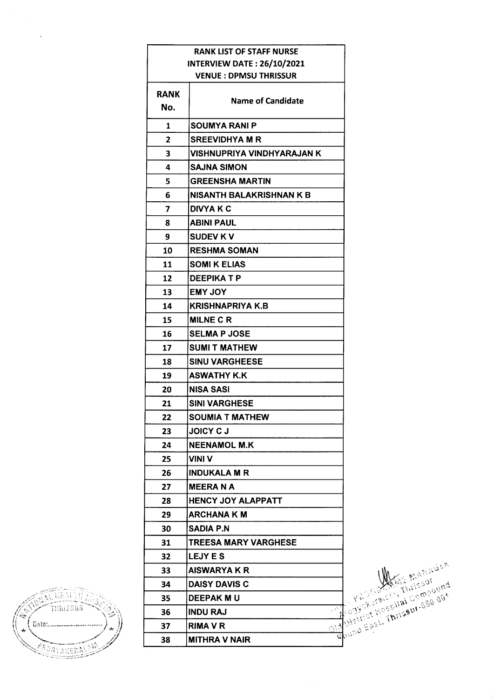|                | <b>RANK LIST OF STAFF NURSE</b>   |
|----------------|-----------------------------------|
|                | <b>INTERVIEW DATE: 26/10/2021</b> |
|                | <b>VENUE: DPMSU THRISSUR</b>      |
| RANK           |                                   |
| No.            | <b>Name of Candidate</b>          |
| 1              | SOUMYA RANI P                     |
| $\overline{2}$ | <b>SREEVIDHYA M R</b>             |
| 3              | VISHNUPRIYA VINDHYARAJAN K        |
| 4              | <b>SAJNA SIMON</b>                |
| 5              | <b>GREENSHA MARTIN</b>            |
| 6              | <b>NISANTH BALAKRISHNAN K B</b>   |
| 7              | <b>DIVYA K C</b>                  |
| 8              | <b>ABINI PAUL</b>                 |
| 9              | <b>SUDEV KV</b>                   |
| 10             | <b>RESHMA SOMAN</b>               |
| 11             | <b>SOMI K ELIAS</b>               |
| 12             | <b>DEEPIKATP</b>                  |
| 13             | <b>EMY JOY</b>                    |
| 14             | KRISHNAPRIYA K.B                  |
| 15             | <b>MILNE C R</b>                  |
| 16             | <b>SELMA P JOSE</b>               |
| 17             | <b>SUMI T MATHEW</b>              |
| 18             | <b>SINU VARGHEESE</b>             |
| 19             | <b>ASWATHY K.K.</b>               |
| 20             | <b>NISA SASI</b>                  |
| 21             | <b>SINI VARGHESE</b>              |
| 22             | <b>SOUMIA T MATHEW</b>            |
| 23             | JOICY C J                         |
| 24             | <b>NEENAMOL M.K</b>               |
| 25             | VINI V                            |
| 26             | <b>INDUKALA M R</b>               |
| 27             | <b>MEERANA</b>                    |
| 28             | <b>HENCY JOY ALAPPATT</b>         |
| 29             | ARCHANA K M                       |
| 30             | SADIA P.N                         |
| 31             | <b>TREESA MARY VARGHESE</b>       |
| 32             | <b>LEJY E S</b>                   |
| 33             | <b>AISWARYA K R</b>               |
| 34             | <b>DAISY DAVIS C</b>              |
| 35             | <b>DEEPAK M U</b>                 |
| 36             | <b>INDU RAJ</b>                   |
| 37             | RIMA V R                          |
| 38             | <b>MITHRA V NAIR</b>              |

Thomas East, Thrispur-836.001

**THEADTH AND THE STATE OF THE STATE OF STATE OF STATE OF STATE** ි كمناسب  $\mathcal{L}$ .<br>| Date:..........................  $\mathcal{A}$ ŵ **SEPARERAL AD** 

 $\sim$   $\epsilon$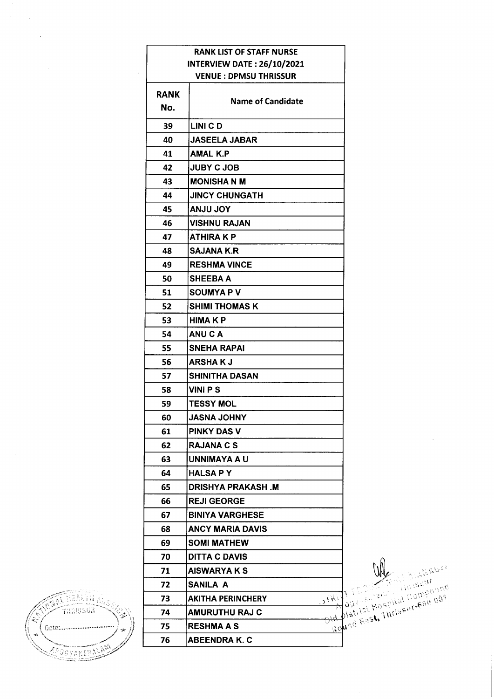|          |                    | <b>RANK LIST OF STAFF NURSE</b>                 |
|----------|--------------------|-------------------------------------------------|
|          |                    | <b>INTERVIEW DATE: 26/10/2021</b>               |
|          |                    | <b>VENUE: DPMSU THRISSUR</b>                    |
|          | <b>RANK</b><br>No. | <b>Name of Candidate</b>                        |
|          | 39                 | LINI CD                                         |
|          | 40                 | <b>JASEELA JABAR</b>                            |
|          | 41                 | <b>AMAL K.P</b>                                 |
|          | 42                 | <b>JUBY C JOB</b>                               |
|          | 43                 | <b>MONISHANM</b>                                |
|          | 44                 | <b>JINCY CHUNGATH</b>                           |
|          | 45                 | YOL ULNA                                        |
|          | 46                 | <b>VISHNU RAJAN</b>                             |
|          | 47                 | <b>ATHIRAKP</b>                                 |
|          | 48                 | <b>SAJANA K.R.</b>                              |
|          | 49                 | <b>RESHMA VINCE</b>                             |
|          | 50                 | <b>SHEEBA A</b>                                 |
|          | 51                 | <b>SOUMYAPV</b>                                 |
|          | 52                 | <b>SHIMI THOMAS K</b>                           |
|          | 53                 | <b>HIMAKP</b>                                   |
|          | 54                 | <b>ANUCA</b>                                    |
|          | 55                 | <b>SNEHA RAPAI</b>                              |
|          | 56                 | <b>ARSHAKJ</b>                                  |
|          | 57                 | <b>SHINITHA DASAN</b>                           |
|          | 58                 | <b>VINI PS</b>                                  |
|          | 59                 | <b>TESSY MOL</b>                                |
|          | 60                 | <b>YAHOL ANSAL</b>                              |
|          | 61                 | <b>PINKY DAS V</b>                              |
|          | 62                 | <b>RAJANA C S</b>                               |
|          | 63                 | <b>UNNIMAYA A U</b>                             |
|          | 64                 | <b>HALSA PY</b>                                 |
|          | 65                 | <b>DRISHYA PRAKASH.M</b>                        |
|          | 66                 | <b>REJI GEORGE</b>                              |
|          | 67                 | <b>BINIYA VARGHESE</b>                          |
|          | 68                 | <b>ANCY MARIA DAVIS</b>                         |
|          |                    |                                                 |
|          | 69                 | <b>SOMI MATHEW</b>                              |
|          | 70                 | <b>DITTA C DAVIS</b>                            |
|          | 71                 | <b>AISWARYAKS</b>                               |
|          | 72                 | SANILA A                                        |
|          | 73                 | <b>AKITHA PERINCHERY</b><br>$\mathcal{N}^{(k)}$ |
| THRISSER | 74                 | <b>AMURUTHU RAJ C</b>                           |
| Geto:    | 75                 | <b>RESHMA A S</b><br>$\mathbb{R}^{\mathsf{O}}$  |
|          | 76                 | <b>ABEENDRA K. C</b>                            |

**ANTIFACIA**  $\overline{\mathbf{C}}$ ð. Gete:............. ý. CONTRESS AND

 $\label{eq:2} \frac{1}{\sqrt{2}}\sum_{i=1}^n\frac{1}{\sqrt{2}}\sum_{i=1}^n\frac{1}{\sqrt{2}}\sum_{i=1}^n\frac{1}{\sqrt{2}}\sum_{i=1}^n\frac{1}{\sqrt{2}}\sum_{i=1}^n\frac{1}{\sqrt{2}}\sum_{i=1}^n\frac{1}{\sqrt{2}}\sum_{i=1}^n\frac{1}{\sqrt{2}}\sum_{i=1}^n\frac{1}{\sqrt{2}}\sum_{i=1}^n\frac{1}{\sqrt{2}}\sum_{i=1}^n\frac{1}{\sqrt{2}}\sum_{i=1}^n\frac{1$ 

 $\hat{\mathcal{A}}$ 

 $\mathcal{L}^{\text{max}}_{\text{max}}$ 

and Eest, Thriseurene and

 $\sim$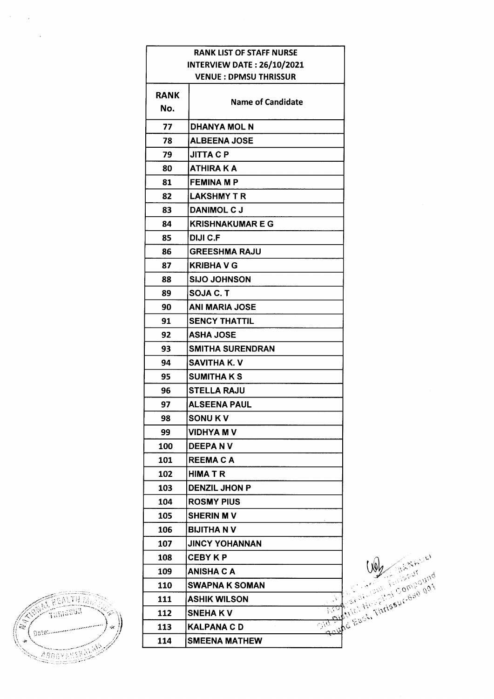|      | RANK LIST OF STAFF NURSE          |
|------|-----------------------------------|
|      | <b>INTERVIEW DATE: 26/10/2021</b> |
|      | <b>VENUE: DPMSU THRISSUR</b>      |
| RANK |                                   |
| No.  | <b>Name of Candidate</b>          |
| 77   | <b>DHANYA MOL N</b>               |
| 78   | <b>ALBEENA JOSE</b>               |
| 79   | <b>JITTA C P</b>                  |
| 80   | ATHIRA K A                        |
| 81   | <b>FEMINA M P</b>                 |
| 82   | <b>LAKSHMY T R</b>                |
| 83   | <b>DANIMOL C J</b>                |
| 84   | <b>KRISHNAKUMAR E G</b>           |
| 85   | DIJI C.F                          |
| 86   | <b>GREESHMA RAJU</b>              |
| 87   | <b>KRIBHA V G</b>                 |
| 88   | <b>SIJO JOHNSON</b>               |
| 89   | <b>SOJA C. T</b>                  |
| 90   | <b>ANI MARIA JOSE</b>             |
| 91   | <b>SENCY THATTIL</b>              |
| 92   | <b>ASHA JOSE</b>                  |
| 93   | <b>SMITHA SURENDRAN</b>           |
| 94   | <b>SAVITHA K.V</b>                |
| 95   | <b>SUMITHAKS</b>                  |
| 96   | <b>STELLA RAJU</b>                |
| 97   | <b>ALSEENA PAUL</b>               |
| 98   | <b>SONUKV</b>                     |
| 99   | VIDHYA M V                        |
| 100  | <b>DEEPA N V</b>                  |
| 101  | <b>REEMA C A</b>                  |
| 102  | <b>HIMATR</b>                     |
| 103  | <b>DENZIL JHON P</b>              |
| 104  | <b>ROSMY PIUS</b>                 |
| 105  | <b>SHERIN M V</b>                 |
| 106  | <b>BIJITHA N V</b>                |
| 107  | <b>JINCY YOHANNAN</b>             |
| 108  | <b>CEBY K P</b>                   |
| 109  | ANISHA C A                        |
| 110  | <b>SWAPNA K SOMAN</b>             |
| 111  | <b>ASHIK WILSON</b>               |
| 112  | <b>SNEHAKV</b>                    |
| 113  | KALPANA C D                       |
| 114  | <b>SMEENA MATHEW</b>              |



 $\mathcal{O}(\mathcal{E}^{\text{max}}_{\text{max}})$ 

 $\mathcal{L}_{\text{max}}$ 

I Cash Thrisput 630 gat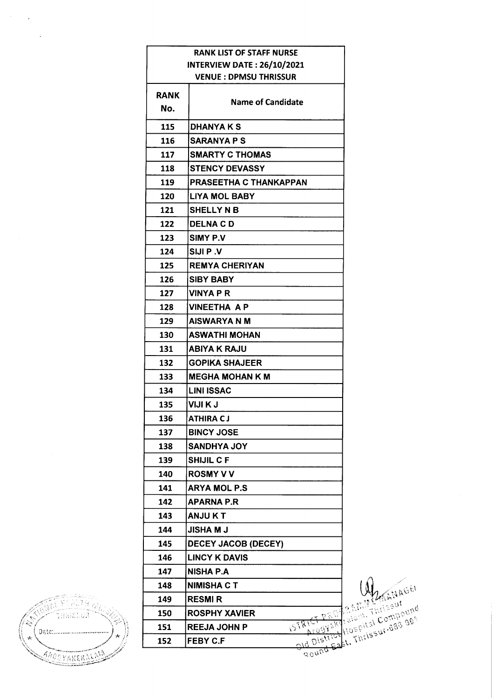|             | <b>RANK LIST OF STAFF NURSE</b>                   |
|-------------|---------------------------------------------------|
|             | <b>INTERVIEW DATE: 26/10/2021</b>                 |
|             | <b>VENUE: DPMSU THRISSUR</b>                      |
| <b>RANK</b> |                                                   |
| No.         | <b>Name of Candidate</b>                          |
| 115         | <b>DHANYA K S</b>                                 |
| 116         | <b>SARANYA P S</b>                                |
| 117         | <b>SMARTY C THOMAS</b>                            |
| 118         | <b>STENCY DEVASSY</b>                             |
| 119         | PRASEETHA C THANKAPPAN                            |
| 120         | <b>LIYA MOL BABY</b>                              |
| 121         | <b>SHELLY N B</b>                                 |
| 122         | <b>DELNACD</b>                                    |
| 123         | SIMY P.V                                          |
| 124         | <b>SIJIP</b> .V                                   |
| 125         | <b>REMYA CHERIYAN</b>                             |
| 126         | <b>SIBY BABY</b>                                  |
| 127         | VINYA P R                                         |
| 128         | <b>VINEETHA AP</b>                                |
| 129         | <b>AISWARYA N M</b>                               |
| 130         | <b>ASWATHI MOHAN</b>                              |
| 131         | <b>ABIYA K RAJU</b>                               |
| 132         | <b>GOPIKA SHAJEER</b>                             |
| 133         | <b>MEGHA MOHAN K M</b>                            |
| 134         | <b>LINI ISSAC</b>                                 |
| 135         | VIJI K J                                          |
| 136         | ATHIRA C J                                        |
| 137         | <b>BINCY JOSE</b>                                 |
| 138         | <b>SANDHYA JOY</b>                                |
| 139         | <b>SHIJIL CF</b>                                  |
| 140         | <b>ROSMY V V</b>                                  |
| 141         | <b>ARYA MOL P.S</b>                               |
| 142         | <b>APARNA P.R</b>                                 |
| 143         | <b>ANJUKT</b>                                     |
| 144         | <b>JISHA M J</b>                                  |
| 145         | <b>DECEY JACOB (DECEY)</b>                        |
| 146         | <b>LINCY K DAVIS</b>                              |
| 147         | <b>NISHA P.A</b>                                  |
| 148         | <b>NIMISHA C T</b>                                |
| 149         | <b>RESMIR</b>                                     |
| 150         | <b>ROSPHY XAVIER</b>                              |
| 151         | ISTRICT PROTRAIGHT - Compo<br><b>REEJA JOHN P</b> |
| 152         | Ald District Wospital Compound<br><b>FEBY C.F</b> |



 $\mathcal{O}(\mathcal{E}^{\mathcal{E}}_{\mathcal{E}})$  ,  $\mathcal{E}^{\mathcal{E}}_{\mathcal{E}}$ 

 $\sim 12$ 

acund R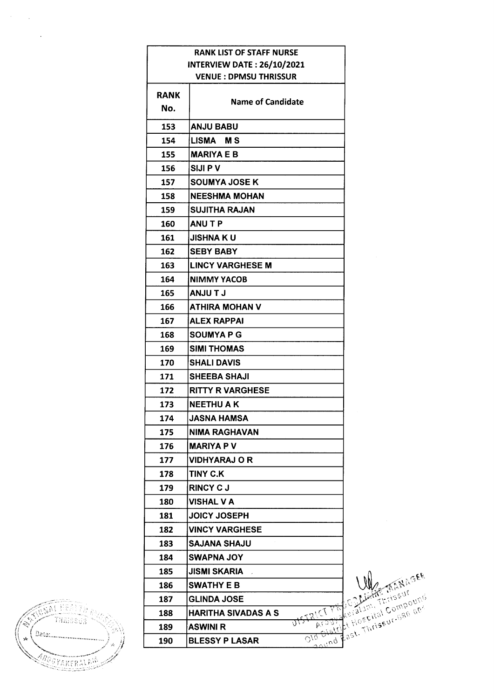| <b>RANK LIST OF STAFF NURSE</b> |                                   |                                                         |
|---------------------------------|-----------------------------------|---------------------------------------------------------|
|                                 | <b>INTERVIEW DATE: 26/10/2021</b> |                                                         |
|                                 | <b>VENUE : DPMSU THRISSUR</b>     |                                                         |
| <b>RANK</b>                     |                                   |                                                         |
| No.                             | <b>Name of Candidate</b>          |                                                         |
| 153                             | <b>ANJU BABU</b>                  |                                                         |
| 154                             | LISMA MS                          |                                                         |
| 155                             | <b>MARIYA E B</b>                 |                                                         |
| 156                             | <b>SIJIPV</b>                     |                                                         |
| 157                             | <b>SOUMYA JOSE K</b>              |                                                         |
| 158                             | <b>NEESHMA MOHAN</b>              |                                                         |
| 159                             | <b>SUJITHA RAJAN</b>              |                                                         |
| 160                             | <b>ANUTP</b>                      |                                                         |
| 161                             | <b>JISHNA KU</b>                  |                                                         |
| 162                             | <b>SEBY BABY</b>                  |                                                         |
| 163                             | <b>LINCY VARGHESE M</b>           |                                                         |
| 164                             | <b>NIMMY YACOB</b>                |                                                         |
| 165                             | <b>LT ULIAN</b>                   |                                                         |
| 166                             | ATHIRA MOHAN V                    |                                                         |
| 167                             | <b>ALEX RAPPAI</b>                |                                                         |
| 168                             | <b>SOUMYAPG</b>                   |                                                         |
| 169                             | <b>SIMI THOMAS</b>                |                                                         |
| 170                             | <b>SHALI DAVIS</b>                |                                                         |
| 171                             | <b>SHEEBA SHAJI</b>               |                                                         |
| 172                             | <b>RITTY R VARGHESE</b>           |                                                         |
| 173                             | <b>NEETHU A K</b>                 |                                                         |
| 174                             | <b>JASNA HAMSA</b>                |                                                         |
| 175                             | <b>NIMA RAGHAVAN</b>              |                                                         |
| 176                             | MARIYA P V                        |                                                         |
| 177                             | <b>VIDHYARAJ O R</b>              |                                                         |
| 178                             | TINY C.K                          |                                                         |
| 179                             | <b>RINCY CJ</b>                   |                                                         |
| 180                             | <b>VISHAL V A</b>                 |                                                         |
| 181                             | JOICY JOSEPH                      |                                                         |
| 182                             | <b>VINCY VARGHESE</b>             |                                                         |
| 183                             | <b>SAJANA SHAJU</b>               |                                                         |
| 184                             | SWAPNA JOY                        |                                                         |
| 185                             | JISMI SKARIA                      |                                                         |
| 186                             | <b>SWATHY E B</b>                 |                                                         |
| 187                             | <b>GLINDA JOSE</b>                |                                                         |
| 188                             | HARITHA SIVADAS A S               |                                                         |
| 189                             | <b>ASWINI R</b>                   | - 55                                                    |
| 190                             | <b>BLESSY P LASAR</b>             | $\overline{\omega^{\prime\alpha}}$<br>$\sigma_{\alpha}$ |

Last. Thriseur. Gan der Kask der Kask der Kask der Grand der Kask der Kask der Kask der Kask der Kask der Kask<br>Einer Schultzeit dem Grand der Kask der Kask der Kask der Kask der Kask der Kask der Kask der Kask der Kask de<br>



 $\mathcal{L}(\mathcal{L})$  and  $\mathcal{L}(\mathcal{L})$ 

 $\mathcal{L}^{\text{max}}_{\text{max}}$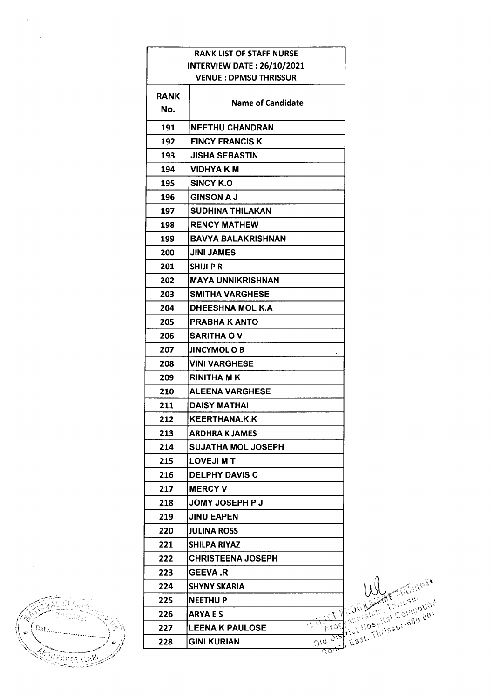|             | <b>RANK LIST OF STAFF NURSE</b>      |
|-------------|--------------------------------------|
|             | <b>INTERVIEW DATE: 26/10/2021</b>    |
|             | <b>VENUE : DPMSU THRISSUR</b>        |
| <b>RANK</b> |                                      |
| No.         | <b>Name of Candidate</b>             |
| 191         | NEETHU CHANDRAN                      |
| 192         | <b>FINCY FRANCIS K</b>               |
| 193         | <b>JISHA SEBASTIN</b>                |
| 194         | <b>VIDHYA K M</b>                    |
| 195         | SINCY K.O                            |
| 196         | <b>GINSON A J</b>                    |
| 197         | SUDHINA THILAKAN                     |
| 198         | <b>RENCY MATHEW</b>                  |
| 199         | <b>BAVYA BALAKRISHNAN</b>            |
| 200         | <b>JINI JAMES</b>                    |
| 201         | <b>SHIJIPR</b>                       |
| 202         | <b>MAYA UNNIKRISHNAN</b>             |
| 203         | <b>SMITHA VARGHESE</b>               |
| 204         | DHEESHNA MOL K.A                     |
| 205         | <b>PRABHA K ANTO</b>                 |
| 206         | <b>SARITHA OV</b>                    |
| 207         | <b>JINCYMOL O B</b>                  |
| 208         | <b>VINI VARGHESE</b>                 |
| 209         | <b>RINITHA MK</b>                    |
| 210         | <b>ALEENA VARGHESE</b>               |
| 211         | <b>DAISY MATHAI</b>                  |
| 212         | <b>KEERTHANA.K.K</b>                 |
| 213         | <b>ARDHRA K JAMES</b>                |
| 214         | <b>SUJATHA MOL JOSEPH</b>            |
| 215         | <b>LOVEJI M T</b>                    |
| 216         | <b>DELPHY DAVIS C</b>                |
| 217         | <b>MERCY V</b>                       |
| 218         | <b>JOMY JOSEPH P J</b>               |
| 219         | <b>JINU EAPEN</b>                    |
| 220         | <b>JULINA ROSS</b>                   |
| 221         | SHILPA RIYAZ                         |
| 222         | <b>CHRISTEENA JOSEPH</b>             |
| 223         | <b>GEEVA .R</b>                      |
| 224         | <b>SHYNY SKARIA</b>                  |
| 225         | <b>NEETHU P</b>                      |
| 226         | <b>ARYAES</b>                        |
| 227         | $^{2}$ 074<br><b>LEENA K PAULOSE</b> |
| 228         | 019 Die<br>GINI KURIAN               |

Old District Hospital Compound

án hai v Tunnsiye ٥ Date ...............  $\hat{\mathbf{x}}$ .<br>Se ABORVAIKERALAM

 $\label{eq:2} \frac{1}{\sqrt{2}}\int_{0}^{\infty}\frac{d\mu}{\lambda} \left(\frac{d\mu}{\lambda}\right)^2\frac{d\mu}{\lambda} \,d\mu\,,$ 

 $\sim$   $\epsilon$